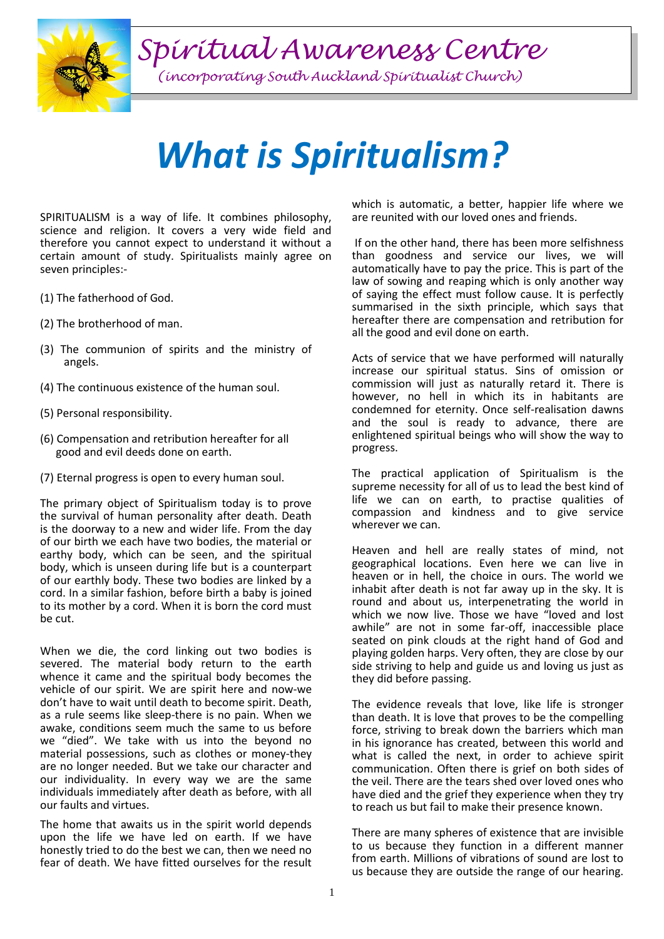*Spiritual Awareness Centre*

*(incorporating South Auckland Spiritualist Church)*

## *What is Spiritualism?*

SPIRITUALISM is a way of life. It combines philosophy, science and religion. It covers a very wide field and therefore you cannot expect to understand it without a certain amount of study. Spiritualists mainly agree on seven principles:-

- (1) The fatherhood of God.
- (2) The brotherhood of man.
- (3) The communion of spirits and the ministry of angels.
- (4) The continuous existence of the human soul.
- (5) Personal responsibility.
- (6) Compensation and retribution hereafter for all good and evil deeds done on earth.
- (7) Eternal progress is open to every human soul.

The primary object of Spiritualism today is to prove the survival of human personality after death. Death is the doorway to a new and wider life. From the day of our birth we each have two bodies, the material or earthy body, which can be seen, and the spiritual body, which is unseen during life but is a counterpart of our earthly body. These two bodies are linked by a cord. In a similar fashion, before birth a baby is joined to its mother by a cord. When it is born the cord must be cut.

When we die, the cord linking out two bodies is severed. The material body return to the earth whence it came and the spiritual body becomes the vehicle of our spirit. We are spirit here and now-we don't have to wait until death to become spirit. Death, as a rule seems like sleep-there is no pain. When we awake, conditions seem much the same to us before we "died". We take with us into the beyond no material possessions, such as clothes or money-they are no longer needed. But we take our character and our individuality. In every way we are the same individuals immediately after death as before, with all our faults and virtues.

The home that awaits us in the spirit world depends upon the life we have led on earth. If we have honestly tried to do the best we can, then we need no fear of death. We have fitted ourselves for the result which is automatic, a better, happier life where we are reunited with our loved ones and friends.

If on the other hand, there has been more selfishness than goodness and service our lives, we will automatically have to pay the price. This is part of the law of sowing and reaping which is only another way of saying the effect must follow cause. It is perfectly summarised in the sixth principle, which says that hereafter there are compensation and retribution for all the good and evil done on earth.

Acts of service that we have performed will naturally increase our spiritual status. Sins of omission or commission will just as naturally retard it. There is however, no hell in which its in habitants are condemned for eternity. Once self-realisation dawns and the soul is ready to advance, there are enlightened spiritual beings who will show the way to progress.

The practical application of Spiritualism is the supreme necessity for all of us to lead the best kind of life we can on earth, to practise qualities of compassion and kindness and to give service wherever we can.

Heaven and hell are really states of mind, not geographical locations. Even here we can live in heaven or in hell, the choice in ours. The world we inhabit after death is not far away up in the sky. It is round and about us, interpenetrating the world in which we now live. Those we have "loved and lost awhile" are not in some far-off, inaccessible place seated on pink clouds at the right hand of God and playing golden harps. Very often, they are close by our side striving to help and guide us and loving us just as they did before passing.

The evidence reveals that love, like life is stronger than death. It is love that proves to be the compelling force, striving to break down the barriers which man in his ignorance has created, between this world and what is called the next, in order to achieve spirit communication. Often there is grief on both sides of the veil. There are the tears shed over loved ones who have died and the grief they experience when they try to reach us but fail to make their presence known.

There are many spheres of existence that are invisible to us because they function in a different manner from earth. Millions of vibrations of sound are lost to us because they are outside the range of our hearing.